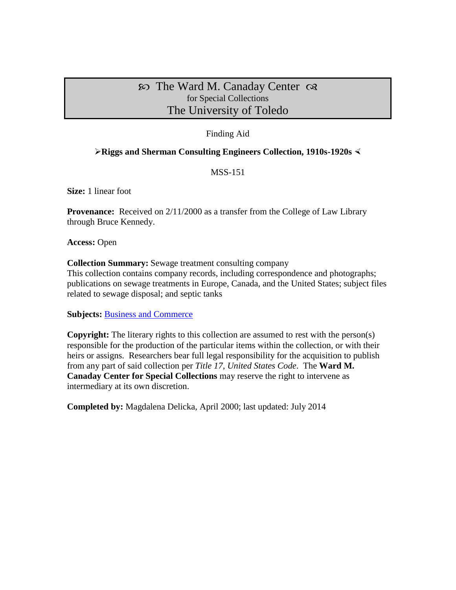The Ward M. Canaday Center for Special Collections The University of Toledo

### Finding Aid

#### **Riggs and Sherman Consulting Engineers Collection, 1910s-1920s**

#### MSS-151

**Size:** 1 linear foot

**Provenance:** Received on  $2/11/2000$  as a transfer from the College of Law Library through Bruce Kennedy.

**Access:** Open

**Collection Summary:** Sewage treatment consulting company

This collection contains company records, including correspondence and photographs; publications on sewage treatments in Europe, Canada, and the United States; subject files related to sewage disposal; and septic tanks

**Subjects:** [Business and Commerce](http://www.utoledo.edu/library/canaday/guidepages/business.html)

**Copyright:** The literary rights to this collection are assumed to rest with the person(s) responsible for the production of the particular items within the collection, or with their heirs or assigns. Researchers bear full legal responsibility for the acquisition to publish from any part of said collection per *Title 17, United States Code*. The **Ward M. Canaday Center for Special Collections** may reserve the right to intervene as intermediary at its own discretion.

**Completed by:** Magdalena Delicka, April 2000; last updated: July 2014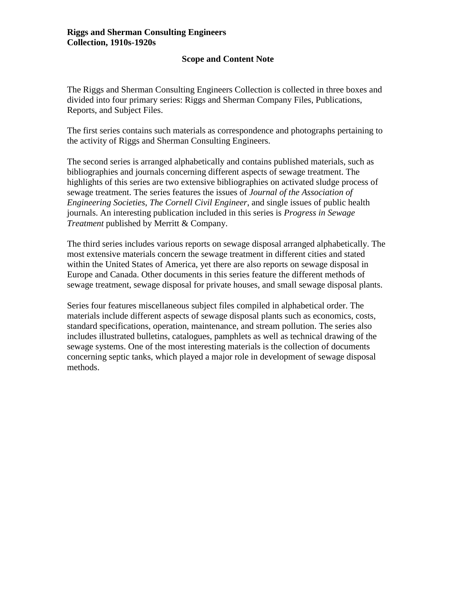#### **Riggs and Sherman Consulting Engineers Collection, 1910s-1920s**

### **Scope and Content Note**

The Riggs and Sherman Consulting Engineers Collection is collected in three boxes and divided into four primary series: Riggs and Sherman Company Files, Publications, Reports, and Subject Files.

The first series contains such materials as correspondence and photographs pertaining to the activity of Riggs and Sherman Consulting Engineers.

The second series is arranged alphabetically and contains published materials, such as bibliographies and journals concerning different aspects of sewage treatment. The highlights of this series are two extensive bibliographies on activated sludge process of sewage treatment. The series features the issues of *Journal of the Association of Engineering Societies*, *The Cornell Civil Engineer*, and single issues of public health journals. An interesting publication included in this series is *Progress in Sewage Treatment* published by Merritt & Company.

The third series includes various reports on sewage disposal arranged alphabetically. The most extensive materials concern the sewage treatment in different cities and stated within the United States of America, yet there are also reports on sewage disposal in Europe and Canada. Other documents in this series feature the different methods of sewage treatment, sewage disposal for private houses, and small sewage disposal plants.

Series four features miscellaneous subject files compiled in alphabetical order. The materials include different aspects of sewage disposal plants such as economics, costs, standard specifications, operation, maintenance, and stream pollution. The series also includes illustrated bulletins, catalogues, pamphlets as well as technical drawing of the sewage systems. One of the most interesting materials is the collection of documents concerning septic tanks, which played a major role in development of sewage disposal methods.